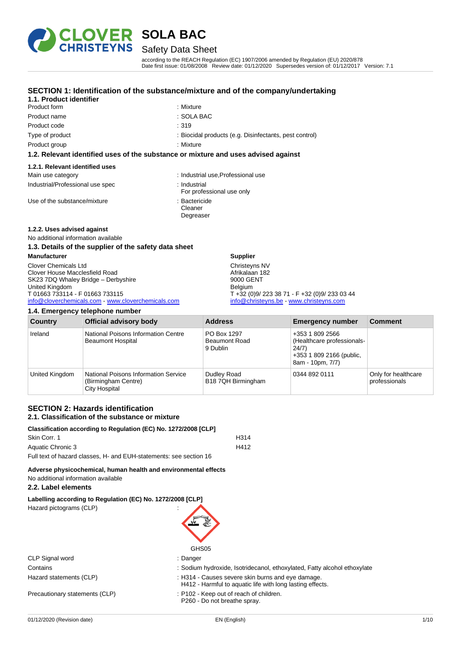

## Safety Data Sheet

according to the REACH Regulation (EC) 1907/2006 amended by Regulation (EU) 2020/878 Date first issue: 01/08/2008 Review date: 01/12/2020 Supersedes version of: 01/12/2017 Version: 7.1

#### **SECTION 1: Identification of the substance/mixture and of the company/undertaking**

| 1.1. Product identifier          |                                                                                    |
|----------------------------------|------------------------------------------------------------------------------------|
| Product form                     | : Mixture                                                                          |
| Product name                     | : SOLA BAC                                                                         |
| Product code                     | :319                                                                               |
| Type of product                  | : Biocidal products (e.g. Disinfectants, pest control)                             |
| Product group                    | : Mixture                                                                          |
|                                  | 1.2. Relevant identified uses of the substance or mixture and uses advised against |
| 1.2.1. Relevant identified uses  |                                                                                    |
| Main use category                | : Industrial use, Professional use                                                 |
| Industrial/Professional use spec | ∴ Industrial<br>For professional use only                                          |
| Use of the substance/mixture     | : Bactericide                                                                      |

- Cleaner
- Degreaser

#### **1.2.2. Uses advised against**

No additional information available

**1.4. Emergency telephone number**

#### **1.3. Details of the supplier of the safety data sheet**

**Manufacturer** Clover Chemicals Ltd Clover House Macclesfield Road SK23 7DQ Whaley Bridge – Derbyshire United Kingdom T 01663 733114 - F 01663 733115 [info@cloverchemicals.com](mailto:info@cloverchemicals.com) - [www.cloverchemicals.com](http://www.cloverchemicals.com/)

#### **Supplier**

Christeyns NV Afrikalaan 182 9000 GENT Belgium T +32 (0)9/ 223 38 71 - F +32 (0)9/ 233 03 44 [info@christeyns.be](mailto:info@christeyns.be) - [www.christeyns.com](http://www.christeyns.com/)

| <b>Country</b> | <b>Official advisory body</b>                                                       | <b>Address</b>                                  | <b>Emergency number</b>                                                                                | <b>Comment</b>                       |
|----------------|-------------------------------------------------------------------------------------|-------------------------------------------------|--------------------------------------------------------------------------------------------------------|--------------------------------------|
| Ireland        | National Poisons Information Centre<br><b>Beaumont Hospital</b>                     | PO Box 1297<br><b>Beaumont Road</b><br>9 Dublin | +353 1 809 2566<br>(Healthcare professionals-<br>24/7)<br>+353 1 809 2166 (public,<br>8am - 10pm, 7/7) |                                      |
| United Kingdom | <b>National Poisons Information Service</b><br>(Birmingham Centre)<br>City Hospital | Dudley Road<br>B18 7QH Birmingham               | 0344 892 0111                                                                                          | Only for healthcare<br>professionals |

#### **SECTION 2: Hazards identification 2.1. Classification of the substance or mixture**

#### **Classification according to Regulation (EC) No. 1272/2008 [CLP]**

| Skin Corr. 1                                                       | H314 |
|--------------------------------------------------------------------|------|
| Aquatic Chronic 3                                                  | H412 |
| Full text of hazard classes. H- and EUH-statements: see section 16 |      |

**Adverse physicochemical, human health and environmental effects** No additional information available

#### **2.2. Label elements**

Hazard pictograms (CLP) :

#### **Labelling according to Regulation (EC) No. 1272/2008 [CLP]**

| GHS05                                                                                                          |
|----------------------------------------------------------------------------------------------------------------|
| : Danger                                                                                                       |
| : Sodium hydroxide, Isotridecanol, ethoxylated, Fatty alcohol ethoxylate                                       |
| : H314 - Causes severe skin burns and eye damage.<br>H412 - Harmful to aquatic life with long lasting effects. |
| : P102 - Keep out of reach of children.<br>P260 - Do not breathe spray.                                        |
|                                                                                                                |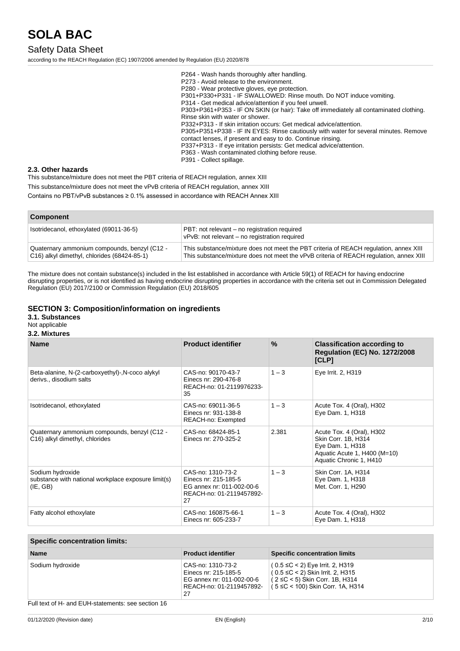### Safety Data Sheet

according to the REACH Regulation (EC) 1907/2006 amended by Regulation (EU) 2020/878

P264 - Wash hands thoroughly after handling. P273 - Avoid release to the environment. P280 - Wear protective gloves, eye protection. P301+P330+P331 - IF SWALLOWED: Rinse mouth. Do NOT induce vomiting. P314 - Get medical advice/attention if you feel unwell. P303+P361+P353 - IF ON SKIN (or hair): Take off immediately all contaminated clothing. Rinse skin with water or shower. P332+P313 - If skin irritation occurs: Get medical advice/attention. P305+P351+P338 - IF IN EYES: Rinse cautiously with water for several minutes. Remove contact lenses, if present and easy to do. Continue rinsing. P337+P313 - If eye irritation persists: Get medical advice/attention. P363 - Wash contaminated clothing before reuse. P391 - Collect spillage.

#### **2.3. Other hazards**

This substance/mixture does not meet the PBT criteria of REACH regulation, annex XIII This substance/mixture does not meet the vPvB criteria of REACH regulation, annex XIII Contains no PBT/vPvB substances ≥ 0.1% assessed in accordance with REACH Annex XIII

| <b>Component</b>                                                                            |                                                                                                                                                                                 |
|---------------------------------------------------------------------------------------------|---------------------------------------------------------------------------------------------------------------------------------------------------------------------------------|
| Isotridecanol, ethoxylated (69011-36-5)                                                     | PBT: not relevant – no registration required<br>vPvB: not relevant - no registration required                                                                                   |
| Quaternary ammonium compounds, benzyl (C12 -<br>C16) alkyl dimethyl, chlorides (68424-85-1) | This substance/mixture does not meet the PBT criteria of REACH regulation, annex XIII<br>This substance/mixture does not meet the vPvB criteria of REACH regulation, annex XIII |

The mixture does not contain substance(s) included in the list established in accordance with Article 59(1) of REACH for having endocrine disrupting properties, or is not identified as having endocrine disrupting properties in accordance with the criteria set out in Commission Delegated Regulation (EU) 2017/2100 or Commission Regulation (EU) 2018/605

#### **SECTION 3: Composition/information on ingredients**

#### **3.1. Substances**

#### Not applicable **3.2. Mixtures**

#### **Name Product identifier % Classification according to Regulation (EC) No. 1272/2008 [CLP]** Beta-alanine, N-(2-carboxyethyl)-,N-coco alykyl derivs., disodium salts CAS-no: 90170-43-7 Einecs nr: 290-476-8 REACH-no: 01-2119976233- 35 1 – 3 **Eye Irrit. 2, H319** Isotridecanol, ethoxylated CAS-no: 69011-36-5 Einecs nr: 931-138-8 REACH-no: Exempted 1 – 3 Acute Tox. 4 (Oral), H302 Eye Dam. 1, H318 Quaternary ammonium compounds, benzyl (C12 - C16) alkyl dimethyl, chlorides CAS-no: 68424-85-1 Einecs nr: 270-325-2 2.381 Acute Tox. 4 (Oral), H302 Skin Corr. 1B, H314 Eye Dam. 1, H318 Aquatic Acute 1, H400 (M=10) Aquatic Chronic 1, H410 Sodium hydroxide substance with national workplace exposure limit(s) (IE, GB) CAS-no: 1310-73-2 Einecs nr: 215-185-5 EG annex nr: 011-002-00-6 REACH-no: 01-2119457892- 27 1 – 3 Skin Corr. 1A, H314 Eye Dam. 1, H318 Met. Corr. 1, H290 Fatty alcohol ethoxylate CAS-no: 160875-66-1 Einecs nr: 605-233-7  $1 - 3$  Acute Tox. 4 (Oral), H302 Eye Dam. 1, H318

#### **Specific concentration limits:**

| <b>Name</b>                                        | <b>Product identifier</b>                                                                                | <b>Specific concentration limits</b>                                                                                                                 |
|----------------------------------------------------|----------------------------------------------------------------------------------------------------------|------------------------------------------------------------------------------------------------------------------------------------------------------|
| Sodium hydroxide                                   | CAS-no: 1310-73-2<br>Einecs nr: 215-185-5<br>EG annex nr: 011-002-00-6<br>REACH-no: 01-2119457892-<br>27 | $(0.5 ≤ C < 2)$ Eye Irrit. 2, H319<br>$(0.5 ≤ C < 2)$ Skin Irrit. 2, H315<br>(2 ≤C < 5) Skin Corr. 1B, H314<br>( $5 ≤ C < 100$ ) Skin Corr. 1A, H314 |
| Full text of H- and EUH-statements: see section 16 |                                                                                                          |                                                                                                                                                      |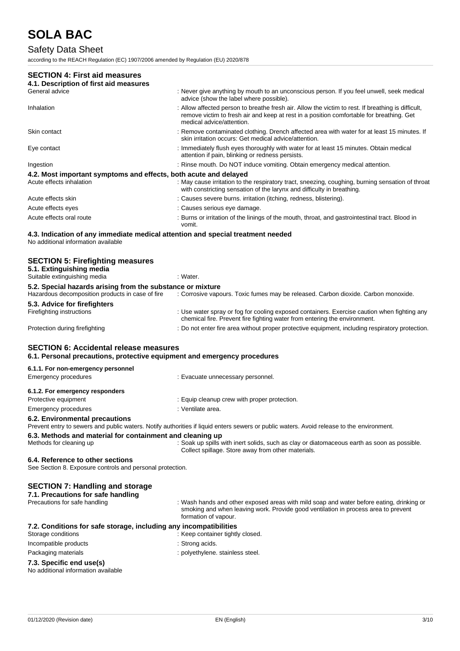## Safety Data Sheet

according to the REACH Regulation (EC) 1907/2006 amended by Regulation (EU) 2020/878

#### **SECTION 4: First aid measures**

| 4.1. Description of first aid measures                           |                                                                                                                                                                                                                             |
|------------------------------------------------------------------|-----------------------------------------------------------------------------------------------------------------------------------------------------------------------------------------------------------------------------|
| General advice                                                   | : Never give anything by mouth to an unconscious person. If you feel unwell, seek medical<br>advice (show the label where possible).                                                                                        |
| Inhalation                                                       | : Allow affected person to breathe fresh air. Allow the victim to rest. If breathing is difficult,<br>remove victim to fresh air and keep at rest in a position comfortable for breathing. Get<br>medical advice/attention. |
| Skin contact                                                     | : Remove contaminated clothing. Drench affected area with water for at least 15 minutes. If<br>skin irritation occurs: Get medical advice/attention.                                                                        |
| Eye contact                                                      | : Immediately flush eyes thoroughly with water for at least 15 minutes. Obtain medical<br>attention if pain, blinking or redness persists.                                                                                  |
| Ingestion                                                        | : Rinse mouth. Do NOT induce vomiting. Obtain emergency medical attention.                                                                                                                                                  |
| 4.2. Most important symptoms and effects, both acute and delayed |                                                                                                                                                                                                                             |
| Acute effects inhalation                                         | : May cause irritation to the respiratory tract, sneezing, coughing, burning sensation of throat<br>with constricting sensation of the larynx and difficulty in breathing.                                                  |
| Acute effects skin                                               | : Causes severe burns. irritation (itching, redness, blistering).                                                                                                                                                           |
| Acute effects eyes                                               | : Causes serious eye damage.                                                                                                                                                                                                |
| Acute effects oral route                                         | : Burns or irritation of the linings of the mouth, throat, and gastrointestinal tract. Blood in<br>vomit.                                                                                                                   |

## **4.3. Indication of any immediate medical attention and special treatment needed**

No additional information available

### **SECTION 5: Firefighting measures 5.1. Extinguishing media** Suitable extinguishing media : Water. **5.2. Special hazards arising from the substance or mixture** Hazardous decomposition products in case of fire : Corrosive vapours. Toxic fumes may be released. Carbon dioxide. Carbon monoxide. **5.3. Advice for firefighters** Firefighting instructions : Use water spray or fog for cooling exposed containers. Exercise caution when fighting any chemical fire. Prevent fire fighting water from entering the environment. Protection during firefighting **inter the state of the CO** not enter fire area without proper protective equipment, including respiratory protection. **SECTION 6: Accidental release measures**

### **6.1. Personal precautions, protective equipment and emergency procedures**

Emergency procedures : Evacuate unnecessary personnel.

#### **6.1.1. For non-emergency personnel**

| 6.1.2. For emergency responders  |                                              |
|----------------------------------|----------------------------------------------|
| Protective equipment             | : Equip cleanup crew with proper protection. |
| Emergency procedures             | : Ventilate area.                            |
| A A Foodsearched contents of the |                                              |

#### **6.2. Environmental precautions**

Prevent entry to sewers and public waters. Notify authorities if liquid enters sewers or public waters. Avoid release to the environment.

Collect spillage. Store away from other materials.

#### **6.3. Methods and material for containment and cleaning up** Methods for cleaning up : Soak up spills with inert solids, such as clay or diatomaceous earth as soon as possible.

#### **6.4. Reference to other sections**

See Section 8. Exposure controls and personal protection.

### **SECTION 7: Handling and storage**

## **7.1. Precautions for safe handling**

Precautions for safe handling : Wash hands and other exposed areas with mild soap and water before eating, drinking or smoking and when leaving work. Provide good ventilation in process area to prevent formation of vapour.

#### **7.2. Conditions for safe storage, including any incompatibilities**

- Storage conditions **in the container of the container tightly closed.** Keep container tightly closed. Incompatible products in the strong acids.
- Packaging materials **EXECUTE:** polyethylene. stainless steel.
- **7.3. Specific end use(s)**

## No additional information available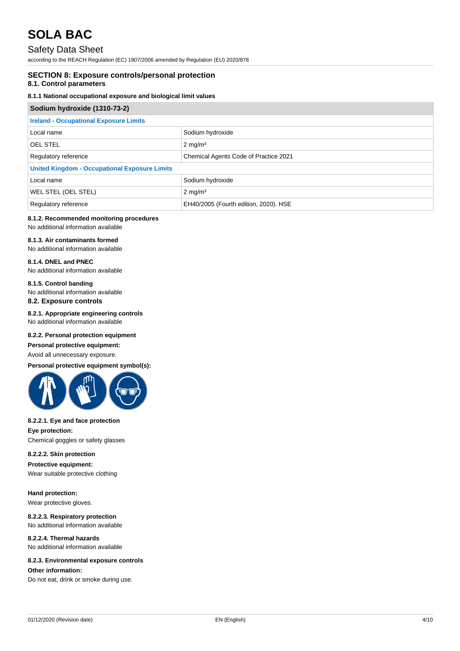### Safety Data Sheet

according to the REACH Regulation (EC) 1907/2006 amended by Regulation (EU) 2020/878

#### **SECTION 8: Exposure controls/personal protection**

#### **8.1. Control parameters**

#### **8.1.1 National occupational exposure and biological limit values**

| Sodium hydroxide (1310-73-2)                         |                                       |  |
|------------------------------------------------------|---------------------------------------|--|
| <b>Ireland - Occupational Exposure Limits</b>        |                                       |  |
| Local name                                           | Sodium hydroxide                      |  |
| <b>OEL STEL</b>                                      | $2 \text{ mg/m}^3$                    |  |
| Regulatory reference                                 | Chemical Agents Code of Practice 2021 |  |
| <b>United Kingdom - Occupational Exposure Limits</b> |                                       |  |
| Local name                                           | Sodium hydroxide                      |  |
| WEL STEL (OEL STEL)                                  | $2 \text{ mg/m}^3$                    |  |
| Regulatory reference                                 | EH40/2005 (Fourth edition, 2020). HSE |  |

## **8.1.2. Recommended monitoring procedures**

No additional information available

### **8.1.3. Air contaminants formed**

No additional information available

#### **8.1.4. DNEL and PNEC** No additional information available

### **8.1.5. Control banding**

No additional information available **8.2. Exposure controls**

#### **8.2.1. Appropriate engineering controls** No additional information available

#### **8.2.2. Personal protection equipment**

#### **Personal protective equipment:**

Avoid all unnecessary exposure.

#### **Personal protective equipment symbol(s):**



### **8.2.2.1. Eye and face protection**

**Eye protection:** Chemical goggles or safety glasses

#### **8.2.2.2. Skin protection**

**Protective equipment:** Wear suitable protective clothing

**Hand protection:** Wear protective gloves.

**8.2.2.3. Respiratory protection** No additional information available

#### **8.2.2.4. Thermal hazards** No additional information available

#### **8.2.3. Environmental exposure controls**

#### **Other information:**

Do not eat, drink or smoke during use.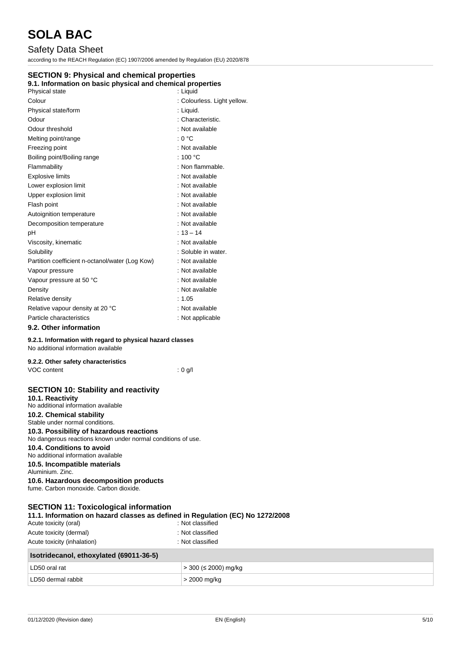## Safety Data Sheet

according to the REACH Regulation (EC) 1907/2006 amended by Regulation (EU) 2020/878

### **SECTION 9: Physical and chemical properties**

### **9.1. Information on basic physical and chemical properties**

| Physical state                                  | : Liguid                    |
|-------------------------------------------------|-----------------------------|
| Colour                                          | : Colourless. Light yellow. |
| Physical state/form                             | : Liquid.                   |
| Odour                                           | : Characteristic.           |
| Odour threshold                                 | : Not available             |
| Melting point/range                             | : 0 °C                      |
| Freezing point                                  | : Not available             |
| Boiling point/Boiling range                     | : 100 $\degree$ C           |
| Flammability                                    | : Non flammable.            |
| <b>Explosive limits</b>                         | : Not available             |
| Lower explosion limit                           | : Not available             |
| Upper explosion limit                           | : Not available             |
| Flash point                                     | : Not available             |
| Autoignition temperature                        | : Not available             |
| Decomposition temperature                       | : Not available             |
| рH                                              | $: 13 - 14$                 |
| Viscosity, kinematic                            | : Not available             |
| Solubility                                      | : Soluble in water.         |
| Partition coefficient n-octanol/water (Log Kow) | : Not available             |
| Vapour pressure                                 | : Not available             |
| Vapour pressure at 50 °C                        | : Not available             |
| Density                                         | : Not available             |
| Relative density                                | : 1.05                      |
| Relative vapour density at 20 °C                | : Not available             |
| Particle characteristics                        | : Not applicable            |
| 9.2. Other information                          |                             |

### **9.2.1. Information with regard to physical hazard classes**

No additional information available

| 9.2.2. Other safety characteristics |         |
|-------------------------------------|---------|
| VOC content                         | : 0 a/l |

### **SECTION 10: Stability and reactivity**

**10.1. Reactivity** No additional information available **10.2. Chemical stability**

Stable under normal conditions.

## **10.3. Possibility of hazardous reactions**

No dangerous reactions known under normal conditions of use.

## **10.4. Conditions to avoid**

No additional information available **10.5. Incompatible materials**

Aluminium. Zinc.

**10.6. Hazardous decomposition products** fume. Carbon monoxide. Carbon dioxide.

### **SECTION 11: Toxicological information**

### **11.1. Information on hazard classes as defined in Regulation (EC) No 1272/2008**

| Acute toxicity (oral)                   | : Not classified      |  |  |
|-----------------------------------------|-----------------------|--|--|
| Acute toxicity (dermal)                 | : Not classified      |  |  |
| Acute toxicity (inhalation)             | : Not classified      |  |  |
| Isotridecanol, ethoxylated (69011-36-5) |                       |  |  |
| LD50 oral rat                           | ⊦> 300 (≤ 2000) mg/kg |  |  |
| LD50 dermal rabbit                      | > 2000 mg/kg          |  |  |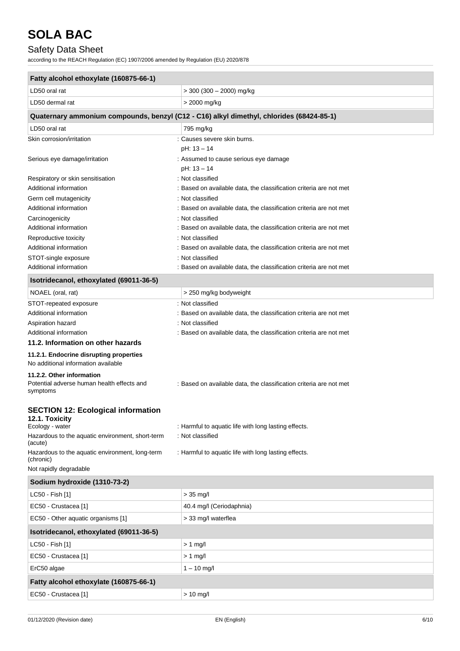## Safety Data Sheet

according to the REACH Regulation (EC) 1907/2006 amended by Regulation (EU) 2020/878

| Fatty alcohol ethoxylate (160875-66-1)                                                 |                                                                                          |  |
|----------------------------------------------------------------------------------------|------------------------------------------------------------------------------------------|--|
| LD50 oral rat                                                                          | $>$ 300 (300 - 2000) mg/kg                                                               |  |
| LD50 dermal rat                                                                        | > 2000 mg/kg                                                                             |  |
|                                                                                        | Quaternary ammonium compounds, benzyl (C12 - C16) alkyl dimethyl, chlorides (68424-85-1) |  |
| LD50 oral rat                                                                          | 795 mg/kg                                                                                |  |
| Skin corrosion/irritation                                                              | : Causes severe skin burns.                                                              |  |
|                                                                                        | pH: 13 - 14                                                                              |  |
| Serious eye damage/irritation                                                          | : Assumed to cause serious eye damage                                                    |  |
|                                                                                        | pH: 13 - 14                                                                              |  |
| Respiratory or skin sensitisation                                                      | : Not classified                                                                         |  |
| Additional information                                                                 | : Based on available data, the classification criteria are not met                       |  |
| Germ cell mutagenicity                                                                 | : Not classified                                                                         |  |
| Additional information                                                                 | : Based on available data, the classification criteria are not met                       |  |
| Carcinogenicity                                                                        | : Not classified                                                                         |  |
| Additional information                                                                 | : Based on available data, the classification criteria are not met                       |  |
| Reproductive toxicity                                                                  | : Not classified                                                                         |  |
| Additional information                                                                 | : Based on available data, the classification criteria are not met                       |  |
| STOT-single exposure                                                                   | : Not classified                                                                         |  |
| Additional information                                                                 | : Based on available data, the classification criteria are not met                       |  |
| Isotridecanol, ethoxylated (69011-36-5)                                                |                                                                                          |  |
| NOAEL (oral, rat)                                                                      | > 250 mg/kg bodyweight                                                                   |  |
| STOT-repeated exposure                                                                 | : Not classified                                                                         |  |
| Additional information                                                                 | : Based on available data, the classification criteria are not met                       |  |
| Aspiration hazard                                                                      | : Not classified                                                                         |  |
| Additional information                                                                 | : Based on available data, the classification criteria are not met                       |  |
| 11.2. Information on other hazards                                                     |                                                                                          |  |
| 11.2.1. Endocrine disrupting properties<br>No additional information available         |                                                                                          |  |
| 11.2.2. Other information<br>Potential adverse human health effects and<br>symptoms    | : Based on available data, the classification criteria are not met                       |  |
| <b>SECTION 12: Ecological information</b><br>12.1. Toxicity                            |                                                                                          |  |
| Ecology - water<br>Hazardous to the aquatic environment, short-term                    | : Harmful to aquatic life with long lasting effects.<br>: Not classified                 |  |
| (acute)                                                                                |                                                                                          |  |
| Hazardous to the aquatic environment, long-term<br>(chronic)<br>Not rapidly degradable | : Harmful to aquatic life with long lasting effects.                                     |  |
| Sodium hydroxide (1310-73-2)                                                           |                                                                                          |  |
|                                                                                        |                                                                                          |  |
| LC50 - Fish [1]                                                                        | $>$ 35 mg/l                                                                              |  |
| EC50 - Crustacea [1]                                                                   | 40.4 mg/l (Ceriodaphnia)                                                                 |  |
| EC50 - Other aquatic organisms [1]                                                     | > 33 mg/l waterflea                                                                      |  |
| Isotridecanol, ethoxylated (69011-36-5)                                                |                                                                                          |  |
| LC50 - Fish [1]                                                                        | $> 1$ mg/l                                                                               |  |
| EC50 - Crustacea [1]                                                                   | $> 1$ mg/l                                                                               |  |
| ErC50 algae                                                                            | $1 - 10$ mg/l                                                                            |  |
| Fatty alcohol ethoxylate (160875-66-1)                                                 |                                                                                          |  |

EC50 - Crustacea [1] > 10 mg/l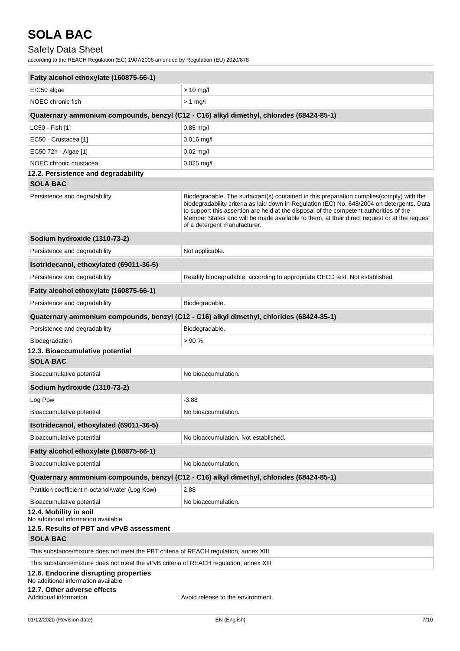## Safety Data Sheet

according to the REACH Regulation (EC) 1907/2006 amended by Regulation (EU) 2020/878

| Fatty alcohol ethoxylate (160875-66-1)                                                                    |                                                                                                                                                                                                                                                                                                                                                                                                                  |  |
|-----------------------------------------------------------------------------------------------------------|------------------------------------------------------------------------------------------------------------------------------------------------------------------------------------------------------------------------------------------------------------------------------------------------------------------------------------------------------------------------------------------------------------------|--|
| ErC50 algae                                                                                               | $> 10$ mg/l                                                                                                                                                                                                                                                                                                                                                                                                      |  |
| NOEC chronic fish                                                                                         | $> 1$ mg/l                                                                                                                                                                                                                                                                                                                                                                                                       |  |
|                                                                                                           | Quaternary ammonium compounds, benzyl (C12 - C16) alkyl dimethyl, chlorides (68424-85-1)                                                                                                                                                                                                                                                                                                                         |  |
| LC50 - Fish [1]                                                                                           | $0.85$ mg/l                                                                                                                                                                                                                                                                                                                                                                                                      |  |
| EC50 - Crustacea [1]                                                                                      | $0.016$ mg/l                                                                                                                                                                                                                                                                                                                                                                                                     |  |
| EC50 72h - Algae [1]                                                                                      | $0.02$ mg/l                                                                                                                                                                                                                                                                                                                                                                                                      |  |
| NOEC chronic crustacea                                                                                    | $0.025$ mg/l                                                                                                                                                                                                                                                                                                                                                                                                     |  |
| 12.2. Persistence and degradability                                                                       |                                                                                                                                                                                                                                                                                                                                                                                                                  |  |
| <b>SOLA BAC</b>                                                                                           |                                                                                                                                                                                                                                                                                                                                                                                                                  |  |
| Persistence and degradability                                                                             | Biodegradable. The surfactant(s) contained in this preparation complies (comply) with the<br>biodegradability criteria as laid down in Regulation (EC) No. 648/2004 on detergents. Data<br>to support this assertion are held at the disposal of the competent authorities of the<br>Member States and will be made available to them, at their direct request or at the request<br>of a detergent manufacturer. |  |
| Sodium hydroxide (1310-73-2)                                                                              |                                                                                                                                                                                                                                                                                                                                                                                                                  |  |
| Persistence and degradability                                                                             | Not applicable.                                                                                                                                                                                                                                                                                                                                                                                                  |  |
| Isotridecanol, ethoxylated (69011-36-5)                                                                   |                                                                                                                                                                                                                                                                                                                                                                                                                  |  |
| Persistence and degradability                                                                             | Readily biodegradable, according to appropriate OECD test. Not established.                                                                                                                                                                                                                                                                                                                                      |  |
| Fatty alcohol ethoxylate (160875-66-1)                                                                    |                                                                                                                                                                                                                                                                                                                                                                                                                  |  |
| Persistence and degradability                                                                             | Biodegradable.                                                                                                                                                                                                                                                                                                                                                                                                   |  |
|                                                                                                           | Quaternary ammonium compounds, benzyl (C12 - C16) alkyl dimethyl, chlorides (68424-85-1)                                                                                                                                                                                                                                                                                                                         |  |
| Persistence and degradability                                                                             | Biodegradable.                                                                                                                                                                                                                                                                                                                                                                                                   |  |
| Biodegradation                                                                                            | > 90%                                                                                                                                                                                                                                                                                                                                                                                                            |  |
| 12.3. Bioaccumulative potential<br><b>SOLA BAC</b>                                                        |                                                                                                                                                                                                                                                                                                                                                                                                                  |  |
| Bioaccumulative potential                                                                                 | No bioaccumulation.                                                                                                                                                                                                                                                                                                                                                                                              |  |
| Sodium hydroxide (1310-73-2)                                                                              |                                                                                                                                                                                                                                                                                                                                                                                                                  |  |
| Log Pow                                                                                                   | $-3.88$                                                                                                                                                                                                                                                                                                                                                                                                          |  |
| Bioaccumulative potential                                                                                 | No bioaccumulation.                                                                                                                                                                                                                                                                                                                                                                                              |  |
| Isotridecanol, ethoxylated (69011-36-5)                                                                   |                                                                                                                                                                                                                                                                                                                                                                                                                  |  |
| Bioaccumulative potential                                                                                 | No bioaccumulation. Not established.                                                                                                                                                                                                                                                                                                                                                                             |  |
| Fatty alcohol ethoxylate (160875-66-1)                                                                    |                                                                                                                                                                                                                                                                                                                                                                                                                  |  |
| Bioaccumulative potential                                                                                 | No bioaccumulation.                                                                                                                                                                                                                                                                                                                                                                                              |  |
|                                                                                                           | Quaternary ammonium compounds, benzyl (C12 - C16) alkyl dimethyl, chlorides (68424-85-1)                                                                                                                                                                                                                                                                                                                         |  |
| Partition coefficient n-octanol/water (Log Kow)                                                           | 2.88                                                                                                                                                                                                                                                                                                                                                                                                             |  |
| Bioaccumulative potential                                                                                 | No bioaccumulation.                                                                                                                                                                                                                                                                                                                                                                                              |  |
| 12.4. Mobility in soil<br>No additional information available<br>12.5. Results of PBT and vPvB assessment |                                                                                                                                                                                                                                                                                                                                                                                                                  |  |
| <b>SOLA BAC</b>                                                                                           |                                                                                                                                                                                                                                                                                                                                                                                                                  |  |
| This substance/mixture does not meet the PBT criteria of REACH regulation, annex XIII                     |                                                                                                                                                                                                                                                                                                                                                                                                                  |  |
| This substance/mixture does not meet the vPvB criteria of REACH regulation, annex XIII                    |                                                                                                                                                                                                                                                                                                                                                                                                                  |  |
| 12.6. Endocrine disrupting properties<br>No additional information available                              |                                                                                                                                                                                                                                                                                                                                                                                                                  |  |
| 12.7. Other adverse effects<br>Additional information                                                     | : Avoid release to the environment.                                                                                                                                                                                                                                                                                                                                                                              |  |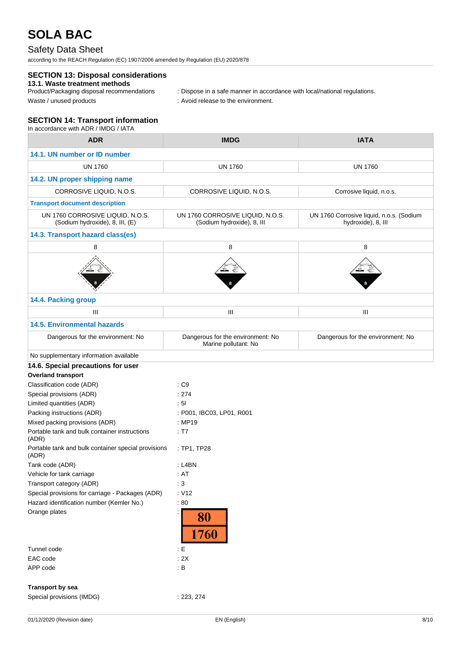## Safety Data Sheet

according to the REACH Regulation (EC) 1907/2006 amended by Regulation (EU) 2020/878

### **SECTION 13: Disposal considerations**

## **13.1. Waste treatment methods**

: Dispose in a safe manner in accordance with local/national regulations.

Waste / unused products in the environment.

#### **SECTION 14: Transport information** In accordance with ADR / IMDG / IATA

| <b>ADR</b>                                                          | <b>IMDG</b>                                                    | <b>IATA</b>                                                    |  |
|---------------------------------------------------------------------|----------------------------------------------------------------|----------------------------------------------------------------|--|
| 14.1. UN number or ID number                                        |                                                                |                                                                |  |
| <b>UN 1760</b>                                                      | <b>UN 1760</b>                                                 | <b>UN 1760</b>                                                 |  |
| 14.2. UN proper shipping name                                       |                                                                |                                                                |  |
| CORROSIVE LIQUID, N.O.S.                                            | CORROSIVE LIQUID, N.O.S.                                       | Corrosive liquid, n.o.s.                                       |  |
| <b>Transport document description</b>                               |                                                                |                                                                |  |
| UN 1760 CORROSIVE LIQUID, N.O.S.<br>(Sodium hydroxide), 8, III, (E) | UN 1760 CORROSIVE LIQUID, N.O.S.<br>(Sodium hydroxide), 8, III | UN 1760 Corrosive liquid, n.o.s. (Sodium<br>hydroxide), 8, III |  |
| 14.3. Transport hazard class(es)                                    |                                                                |                                                                |  |
| 8                                                                   | 8                                                              | 8                                                              |  |
|                                                                     |                                                                |                                                                |  |
| 14.4. Packing group                                                 |                                                                |                                                                |  |
| Ш                                                                   | Ш                                                              | Ш                                                              |  |
| <b>14.5. Environmental hazards</b>                                  |                                                                |                                                                |  |
| Dangerous for the environment: No                                   | Dangerous for the environment: No<br>Marine pollutant: No      | Dangerous for the environment: No                              |  |
| No supplementary information available                              |                                                                |                                                                |  |
| 14.6. Special precautions for user                                  |                                                                |                                                                |  |
| <b>Overland transport</b>                                           |                                                                |                                                                |  |
| Classification code (ADR)                                           | : C9                                                           |                                                                |  |
| Special provisions (ADR)                                            | : 274                                                          |                                                                |  |
| Limited quantities (ADR)                                            | : 51                                                           |                                                                |  |
| Packing instructions (ADR)                                          | : P001, IBC03, LP01, R001                                      |                                                                |  |
| Mixed packing provisions (ADR)                                      | : MP19                                                         |                                                                |  |
| Portable tank and bulk container instructions<br>(ADR)              | : T7                                                           |                                                                |  |
| Portable tank and bulk container special provisions<br>(ADR)        | : TP1, TP28                                                    |                                                                |  |
| Tank code (ADR)                                                     | : L4BN                                                         |                                                                |  |
| Vehicle for tank carriage                                           | : AT                                                           |                                                                |  |
| Transport category (ADR)                                            | : 3                                                            |                                                                |  |
| Special provisions for carriage - Packages (ADR)                    | : V12                                                          |                                                                |  |
| Hazard identification number (Kemler No.)                           | :80                                                            |                                                                |  |
| Orange plates                                                       | 80<br>1760                                                     |                                                                |  |
| Tunnel code                                                         | $\cdot$ E                                                      |                                                                |  |
| EAC code                                                            | : 2X                                                           |                                                                |  |
| APP code                                                            | : $\mathsf B$                                                  |                                                                |  |
| Transport by sea                                                    |                                                                |                                                                |  |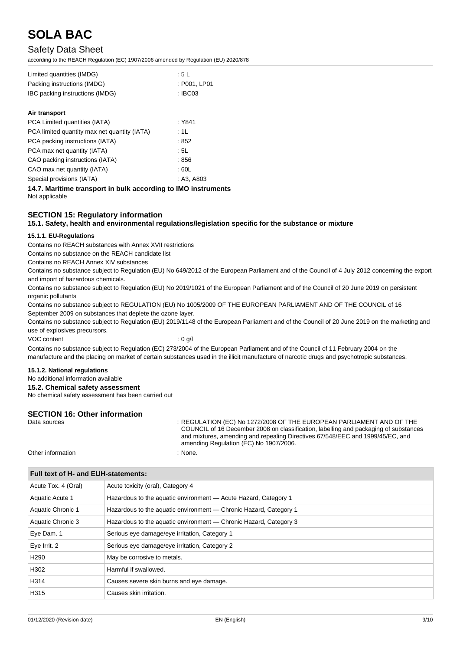## Safety Data Sheet

according to the REACH Regulation (EC) 1907/2006 amended by Regulation (EU) 2020/878

| Limited quantities (IMDG)       | :5L          |
|---------------------------------|--------------|
| Packing instructions (IMDG)     | : P001. LP01 |
| IBC packing instructions (IMDG) | : IBC03      |

#### **Air transport**

| PCA Limited quantities (IATA)                | : Y841     |
|----------------------------------------------|------------|
| PCA limited quantity max net quantity (IATA) | : 1L       |
| PCA packing instructions (IATA)              | : 852      |
| PCA max net quantity (IATA)                  | :5L        |
| CAO packing instructions (IATA)              | :856       |
| CAO max net quantity (IATA)                  | : 60L      |
| Special provisions (IATA)                    | : A3, A803 |

**14.7. Maritime transport in bulk according to IMO instruments** Not applicable

#### **SECTION 15: Regulatory information**

#### **15.1. Safety, health and environmental regulations/legislation specific for the substance or mixture**

#### **15.1.1. EU-Regulations**

Contains no REACH substances with Annex XVII restrictions

Contains no substance on the REACH candidate list

Contains no REACH Annex XIV substances

Contains no substance subject to Regulation (EU) No 649/2012 of the European Parliament and of the Council of 4 July 2012 concerning the export and import of hazardous chemicals.

Contains no substance subject to Regulation (EU) No 2019/1021 of the European Parliament and of the Council of 20 June 2019 on persistent organic pollutants

Contains no substance subject to REGULATION (EU) No 1005/2009 OF THE EUROPEAN PARLIAMENT AND OF THE COUNCIL of 16 September 2009 on substances that deplete the ozone layer.

Contains no substance subject to Regulation (EU) 2019/1148 of the European Parliament and of the Council of 20 June 2019 on the marketing and use of explosives precursors.

VOC content : 0 g/l

Contains no substance subject to Regulation (EC) 273/2004 of the European Parliament and of the Council of 11 February 2004 on the manufacture and the placing on market of certain substances used in the illicit manufacture of narcotic drugs and psychotropic substances.

#### **15.1.2. National regulations**

No additional information available

**15.2. Chemical safety assessment**

No chemical safety assessment has been carried out

## **SECTION 16: Other information**<br>Data sources

**Full text of H- and EUH-statements:**

: REGULATION (EC) No 1272/2008 OF THE EUROPEAN PARLIAMENT AND OF THE COUNCIL of 16 December 2008 on classification, labelling and packaging of substances and mixtures, amending and repealing Directives 67/548/EEC and 1999/45/EC, and amending Regulation (EC) No 1907/2006.

Other information  $\blacksquare$  : None.

| FUILLEAL OF H- AND EUN-SLATEMENTS. |                                                                   |  |
|------------------------------------|-------------------------------------------------------------------|--|
| Acute Tox. 4 (Oral)                | Acute toxicity (oral), Category 4                                 |  |
| Aquatic Acute 1                    | Hazardous to the aquatic environment - Acute Hazard, Category 1   |  |
| Aquatic Chronic 1                  | Hazardous to the aquatic environment — Chronic Hazard, Category 1 |  |
| Aquatic Chronic 3                  | Hazardous to the aquatic environment — Chronic Hazard, Category 3 |  |
| Eye Dam. 1                         | Serious eye damage/eye irritation, Category 1                     |  |
| Eye Irrit. 2                       | Serious eye damage/eye irritation, Category 2                     |  |
| H <sub>290</sub>                   | May be corrosive to metals.                                       |  |
| H302                               | Harmful if swallowed.                                             |  |
| H314                               | Causes severe skin burns and eye damage.                          |  |
| H315                               | Causes skin irritation.                                           |  |
|                                    |                                                                   |  |